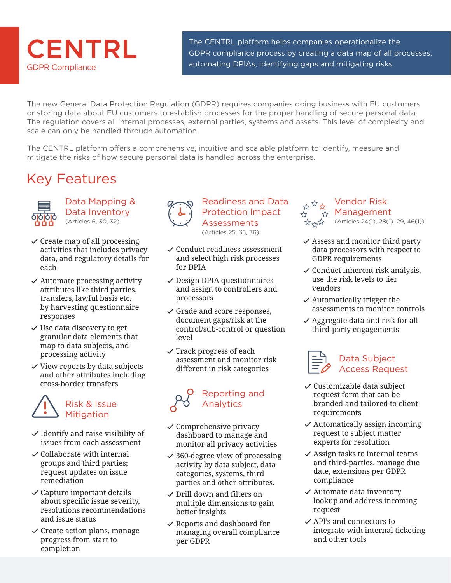

The CENTRL platform helps companies operationalize the The CENTRL platform helps companies operationalize the<br>GDPR compliance process by creating a data map of all processes, automating DPIAs, identifying gaps and mitigating risks.

The new General Data Protection Regulation (GDPR) requires companies doing business with EU customers or storing data about EU customers to establish processes for the proper handling of secure personal data. The regulation covers all internal processes, external parties, systems and assets. This level of complexity and scale can only be handled through automation.

The CENTRL platform offers a comprehensive, intuitive and scalable platform to identify, measure and mitigate the risks of how secure personal data is handled across the enterprise.

## Key Features



Data Mapping & Data Inventory (Articles 6, 30, 32)

- $\checkmark$  Create map of all processing activities that includes privacy data, and regulatory details for each
- $\checkmark$  Automate processing activity attributes like third parties, transfers, lawful basis etc. by harvesting questionnaire responses
- ✓ Use data discovery to get granular data elements that map to data subjects, and processing activity
- ✓ View reports by data subjects and other attributes including cross-border transfers

## Risk & Issue Mitigation

- $\checkmark$  Identify and raise visibility of issues from each assessment
- ✓ Collaborate with internal groups and third parties; request updates on issue remediation
- $\checkmark$  Capture important details about specific issue severity, resolutions recommendations and issue status
- $\checkmark$  Create action plans, manage progress from start to completion



### Readiness and Data Protection Impact **Assessments**

(Articles 25, 35, 36)

- ✓ Conduct readiness assessment and select high risk processes for DPIA
- $\checkmark$  Design DPIA questionnaires and assign to controllers and processors
- ✓ Grade and score responses, document gaps/risk at the control/sub-control or question level
- $\checkmark$  Track progress of each assessment and monitor risk different in risk categories



- $\checkmark$  Comprehensive privacy dashboard to manage and monitor all privacy activities
- $\checkmark$  360-degree view of processing activity by data subject, data categories, systems, third parties and other attributes.
- ✓ Drill down and filters on multiple dimensions to gain better insights
- ✓ Reports and dashboard for managing overall compliance per GDPR

#### Vendor Risk  $\stackrel{M}{\uparrow}$  Management \*\* 、<br>\*\* 、\*\* (Articles 24(1), 28(1), 29, 46(1))

- $\checkmark$  Assess and monitor third party data processors with respect to GDPR requirements
- $\checkmark$  Conduct inherent risk analysis, use the risk levels to tier vendors
- $\checkmark$  Automatically trigger the assessments to monitor controls
- $\vee$  Aggregate data and risk for all third-party engagements



- ✓ Customizable data subject request form that can be branded and tailored to client requirements
- $\checkmark$  Automatically assign incoming request to subject matter experts for resolution
- $\checkmark$  Assign tasks to internal teams and third-parties, manage due date, extensions per GDPR compliance
- $\checkmark$  Automate data inventory lookup and address incoming request
- ✓ API's and connectors to integrate with internal ticketing and other tools